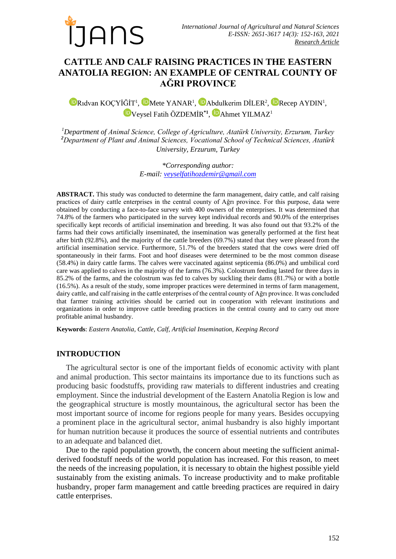

# **CATTLE AND CALF RAISING PRACTICES IN THE EASTERN ANATOLIA REGION: AN EXAMPLE OF CENTRAL COUNTY OF AĞRI PROVINCE**

[R](https://orcid.org/0000-0001-9979-0804)ıdvan KOÇYİĞİT<sup>1</sup>, U[M](https://orcid.org/0000-0002-5311-5675)eteYANAR<sup>1</sup>, UAbdulkerim DİLER<sup>2</sup>, URecep AYDIN<sup>1</sup>, [V](https://orcid.org/0000-0003-3035-7695)eysel Fatih ÖZDEMİR<sup>\*1</sup>, P[A](https://orcid.org/0000-0002-6305-2858)hmet YILMAZ<sup>1</sup>

*<sup>1</sup>Department of Animal Science, College of Agriculture, Atatürk University, Erzurum, Turkey <sup>2</sup>Department of Plant and Animal Sciences, Vocational School of Technical Sciences, Atatürk University, Erzurum, Turkey*

> *\*Corresponding author: E-mail: [veyselfatihozdemir@gmail.com](mailto:veyselfatihozdemir@gmail.com)*

**ABSTRACT.** This study was conducted to determine the farm management, dairy cattle, and calf raising practices of dairy cattle enterprises in the central county of Ağrı province. For this purpose, data were obtained by conducting a face-to-face survey with 400 owners of the enterprises. It was determined that 74.8% of the farmers who participated in the survey kept individual records and 90.0% of the enterprises specifically kept records of artificial insemination and breeding. It was also found out that 93.2% of the farms had their cows artificially inseminated, the insemination was generally performed at the first heat after birth (92.8%), and the majority of the cattle breeders (69.7%) stated that they were pleased from the artificial insemination service. Furthermore, 51.7% of the breeders stated that the cows were dried off spontaneously in their farms. Foot and hoof diseases were determined to be the most common disease (58.4%) in dairy cattle farms. The calves were vaccinated against septicemia (86.0%) and umbilical cord care was applied to calves in the majority of the farms (76.3%). Colostrum feeding lasted for three days in 85.2% of the farms, and the colostrum was fed to calves by suckling their dams (81.7%) or with a bottle (16.5%). As a result of the study, some improper practices were determined in terms of farm management, dairy cattle, and calf raising in the cattle enterprises of the central county of Ağrı province. It was concluded that farmer training activities should be carried out in cooperation with relevant institutions and organizations in order to improve cattle breeding practices in the central county and to carry out more profitable animal husbandry.

**Keywords**: *Eastern Anatolia, Cattle, Calf, Artificial Insemination, Keeping Record*

## **INTRODUCTION**

The agricultural sector is one of the important fields of economic activity with plant and animal production. This sector maintains its importance due to its functions such as producing basic foodstuffs, providing raw materials to different industries and creating employment. Since the industrial development of the Eastern Anatolia Region is low and the geographical structure is mostly mountainous, the agricultural sector has been the most important source of income for regions people for many years. Besides occupying a prominent place in the agricultural sector, animal husbandry is also highly important for human nutrition because it produces the source of essential nutrients and contributes to an adequate and balanced diet.

Due to the rapid population growth, the concern about meeting the sufficient animalderived foodstuff needs of the world population has increased. For this reason, to meet the needs of the increasing population, it is necessary to obtain the highest possible yield sustainably from the existing animals. To increase productivity and to make profitable husbandry, proper farm management and cattle breeding practices are required in dairy cattle enterprises.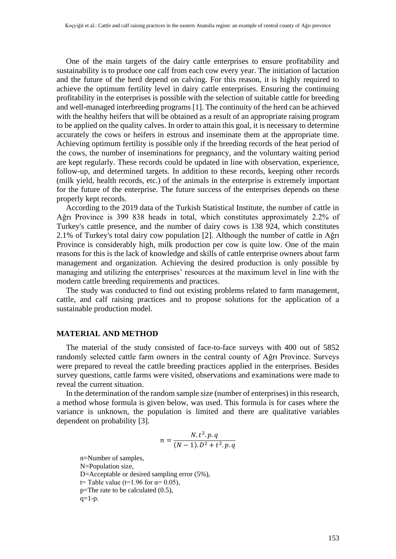One of the main targets of the dairy cattle enterprises to ensure profitability and sustainability is to produce one calf from each cow every year. The initiation of lactation and the future of the herd depend on calving. For this reason, it is highly required to achieve the optimum fertility level in dairy cattle enterprises. Ensuring the continuing profitability in the enterprises is possible with the selection of suitable cattle for breeding and well-managed interbreeding programs [1]. The continuity of the herd can be achieved with the healthy heifers that will be obtained as a result of an appropriate raising program to be applied on the quality calves. In order to attain this goal, it is necessary to determine accurately the cows or heifers in estrous and inseminate them at the appropriate time. Achieving optimum fertility is possible only if the breeding records of the heat period of the cows, the number of inseminations for pregnancy, and the voluntary waiting period are kept regularly. These records could be updated in line with observation, experience, follow-up, and determined targets. In addition to these records, keeping other records (milk yield, health records, etc.) of the animals in the enterprise is extremely important for the future of the enterprise. The future success of the enterprises depends on these properly kept records.

According to the 2019 data of the Turkish Statistical Institute, the number of cattle in Ağrı Province is 399 838 heads in total, which constitutes approximately 2.2% of Turkey's cattle presence, and the number of dairy cows is 138 924, which constitutes 2.1% of Turkey's total dairy cow population [2]. Although the number of cattle in Ağrı Province is considerably high, milk production per cow is quite low. One of the main reasons for this is the lack of knowledge and skills of cattle enterprise owners about farm management and organization. Achieving the desired production is only possible by managing and utilizing the enterprises' resources at the maximum level in line with the modern cattle breeding requirements and practices.

The study was conducted to find out existing problems related to farm management, cattle, and calf raising practices and to propose solutions for the application of a sustainable production model.

#### **MATERIAL AND METHOD**

The material of the study consisted of face-to-face surveys with 400 out of 5852 randomly selected cattle farm owners in the central county of Ağrı Province. Surveys were prepared to reveal the cattle breeding practices applied in the enterprises. Besides survey questions, cattle farms were visited, observations and examinations were made to reveal the current situation.

In the determination of the random sample size (number of enterprises) in this research, a method whose formula is given below, was used. This formula is for cases where the variance is unknown, the population is limited and there are qualitative variables dependent on probability [3].

$$
n = \frac{N \cdot t^2 \cdot p \cdot q}{(N-1) \cdot D^2 + t^2 \cdot p \cdot q}
$$

n=Number of samples, N=Population size, D=Acceptable or desired sampling error (5%), t= Table value (t=1.96 for  $\alpha$ = 0.05), p=The rate to be calculated (0.5),  $q=1-p$ .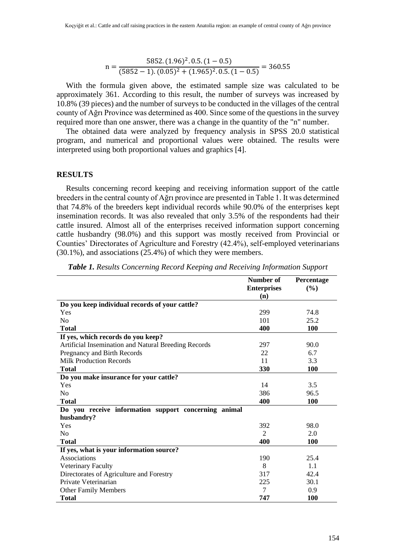n = 
$$
\frac{5852.(1.96)^2.0.5.(1-0.5)}{(5852-1).(0.05)^2 + (1.965)^2.0.5.(1-0.5)} = 360.55
$$

With the formula given above, the estimated sample size was calculated to be approximately 361. According to this result, the number of surveys was increased by 10.8% (39 pieces) and the number of surveys to be conducted in the villages of the central county of Ağrı Province was determined as 400. Since some of the questions in the survey required more than one answer, there was a change in the quantity of the "n" number.

The obtained data were analyzed by frequency analysis in SPSS 20.0 statistical program, and numerical and proportional values were obtained. The results were interpreted using both proportional values and graphics [4].

#### **RESULTS**

Results concerning record keeping and receiving information support of the cattle breeders in the central county of Ağrı province are presented in Table 1. It was determined that 74.8% of the breeders kept individual records while 90.0% of the enterprises kept insemination records. It was also revealed that only 3.5% of the respondents had their cattle insured. Almost all of the enterprises received information support concerning cattle husbandry (98.0%) and this support was mostly received from Provincial or Counties' Directorates of Agriculture and Forestry (42.4%), self-employed veterinarians (30.1%), and associations (25.4%) of which they were members.

|                                                      | Number of          | <b>Percentage</b> |
|------------------------------------------------------|--------------------|-------------------|
|                                                      | <b>Enterprises</b> | (%)               |
|                                                      | (n)                |                   |
| Do you keep individual records of your cattle?       |                    |                   |
| Yes                                                  | 299                | 74.8              |
| No                                                   | 101                | 25.2              |
| <b>Total</b>                                         | 400                | <b>100</b>        |
| If yes, which records do you keep?                   |                    |                   |
| Artificial Insemination and Natural Breeding Records | 297                | 90.0              |
| Pregnancy and Birth Records                          | 22                 | 6.7               |
| <b>Milk Production Records</b>                       | 11                 | 3.3               |
| <b>Total</b>                                         | 330                | <b>100</b>        |
| Do you make insurance for your cattle?               |                    |                   |
| Yes                                                  | 14                 | 3.5               |
| N <sub>o</sub>                                       | 386                | 96.5              |
| <b>Total</b>                                         | 400                | 100               |
| Do you receive information support concerning animal |                    |                   |
| husbandry?                                           |                    |                   |
| Yes                                                  | 392                | 98.0              |
| No                                                   | $\overline{2}$     | 2.0               |
| <b>Total</b>                                         | 400                | 100               |
| If yes, what is your information source?             |                    |                   |
| Associations                                         | 190                | 25.4              |
| <b>Veterinary Faculty</b>                            | 8                  | 1.1               |
| Directorates of Agriculture and Forestry             | 317                | 42.4              |
| Private Veterinarian                                 | 225                | 30.1              |
| <b>Other Family Members</b>                          | 7                  | 0.9               |
| <b>Total</b>                                         | 747                | <b>100</b>        |

*Table 1. Results Concerning Record Keeping and Receiving Information Support*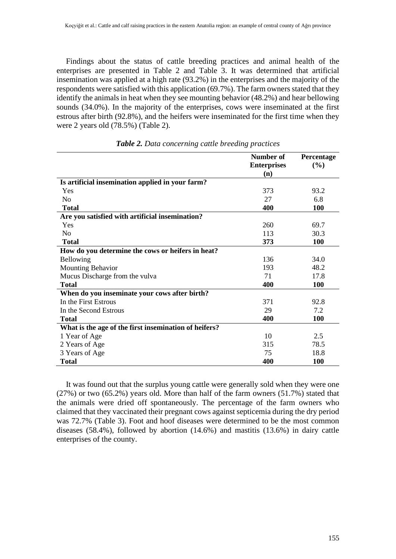Findings about the status of cattle breeding practices and animal health of the enterprises are presented in Table 2 and Table 3. It was determined that artificial insemination was applied at a high rate (93.2%) in the enterprises and the majority of the respondents were satisfied with this application (69.7%). The farm owners stated that they identify the animals in heat when they see mounting behavior (48.2%) and hear bellowing sounds (34.0%). In the majority of the enterprises, cows were inseminated at the first estrous after birth (92.8%), and the heifers were inseminated for the first time when they were 2 years old (78.5%) (Table 2).

|                                                       | Number of          | Percentage |
|-------------------------------------------------------|--------------------|------------|
|                                                       | <b>Enterprises</b> | (%)        |
|                                                       | (n)                |            |
| Is artificial insemination applied in your farm?      |                    |            |
| Yes                                                   | 373                | 93.2       |
| N <sub>0</sub>                                        | 27                 | 6.8        |
| <b>Total</b>                                          | 400                | <b>100</b> |
| Are you satisfied with artificial insemination?       |                    |            |
| Yes                                                   | 260                | 69.7       |
| N <sub>o</sub>                                        | 113                | 30.3       |
| <b>Total</b>                                          | 373                | <b>100</b> |
| How do you determine the cows or heifers in heat?     |                    |            |
| Bellowing                                             | 136                | 34.0       |
| <b>Mounting Behavior</b>                              | 193                | 48.2       |
| Mucus Discharge from the vulva                        | 71                 | 17.8       |
| <b>Total</b>                                          | 400                | 100        |
| When do you inseminate your cows after birth?         |                    |            |
| In the First Estrous                                  | 371                | 92.8       |
| In the Second Estrous                                 | 29                 | 7.2        |
| <b>Total</b>                                          | 400                | 100        |
| What is the age of the first insemination of heifers? |                    |            |
| 1 Year of Age                                         | 10                 | 2.5        |
| 2 Years of Age                                        | 315                | 78.5       |
| 3 Years of Age                                        | 75                 | 18.8       |
| Total                                                 | 400                | 100        |

*Table 2. Data concerning cattle breeding practices*

It was found out that the surplus young cattle were generally sold when they were one (27%) or two (65.2%) years old. More than half of the farm owners (51.7%) stated that the animals were dried off spontaneously. The percentage of the farm owners who claimed that they vaccinated their pregnant cows against septicemia during the dry period was 72.7% (Table 3). Foot and hoof diseases were determined to be the most common diseases (58.4%), followed by abortion (14.6%) and mastitis (13.6%) in dairy cattle enterprises of the county.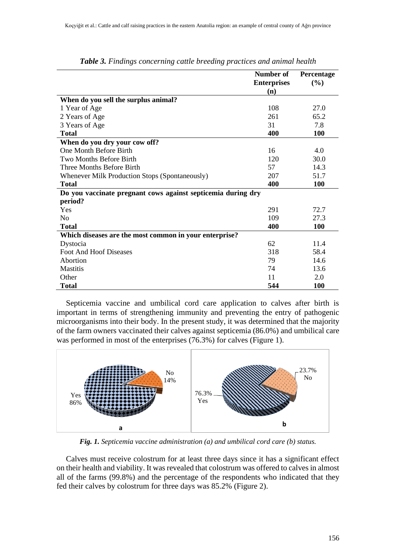|                                                              | Number of<br><b>Enterprises</b> | Percentage<br>(%) |
|--------------------------------------------------------------|---------------------------------|-------------------|
|                                                              | (n)                             |                   |
| When do you sell the surplus animal?                         |                                 |                   |
| 1 Year of Age                                                | 108                             | 27.0              |
| 2 Years of Age                                               | 261                             | 65.2              |
| 3 Years of Age                                               | 31                              | 7.8               |
| <b>Total</b>                                                 | 400                             | 100               |
| When do you dry your cow off?                                |                                 |                   |
| <b>One Month Before Birth</b>                                | 16                              | 4.0               |
| <b>Two Months Before Birth</b>                               | 120                             | 30.0              |
| Three Months Before Birth                                    | 57                              | 14.3              |
| Whenever Milk Production Stops (Spontaneously)               | 207                             | 51.7              |
| <b>Total</b>                                                 | 400                             | <b>100</b>        |
| Do you vaccinate pregnant cows against septicemia during dry |                                 |                   |
| period?                                                      |                                 |                   |
| Yes                                                          | 291                             | 72.7              |
| N <sub>0</sub>                                               | 109                             | 27.3              |
| <b>Total</b>                                                 | 400                             | <b>100</b>        |
| Which diseases are the most common in your enterprise?       |                                 |                   |
| Dystocia                                                     | 62                              | 11.4              |
| <b>Foot And Hoof Diseases</b>                                | 318                             | 58.4              |
| Abortion                                                     | 79                              | 14.6              |
| <b>Mastitis</b>                                              | 74                              | 13.6              |
| Other                                                        | 11                              | 2.0               |
| <b>Total</b>                                                 | 544                             | 100               |

*Table 3. Findings concerning cattle breeding practices and animal health*

Septicemia vaccine and umbilical cord care application to calves after birth is important in terms of strengthening immunity and preventing the entry of pathogenic microorganisms into their body. In the present study, it was determined that the majority of the farm owners vaccinated their calves against septicemia (86.0%) and umbilical care was performed in most of the enterprises (76.3%) for calves (Figure 1).



*Fig. 1. Septicemia vaccine administration (a) and umbilical cord care (b) status.*

Calves must receive colostrum for at least three days since it has a significant effect on their health and viability. It was revealed that colostrum was offered to calves in almost all of the farms (99.8%) and the percentage of the respondents who indicated that they fed their calves by colostrum for three days was 85.2% (Figure 2).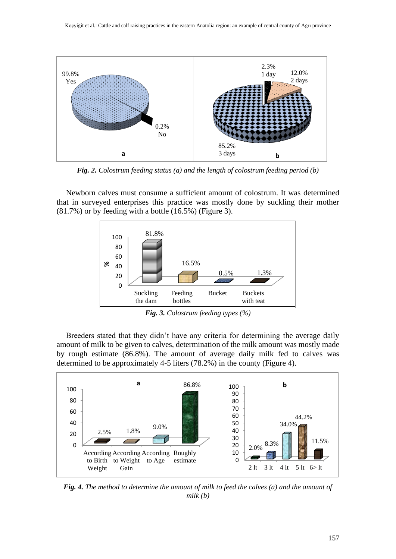

*Fig. 2. Colostrum feeding status (a) and the length of colostrum feeding period (b)*

Newborn calves must consume a sufficient amount of colostrum. It was determined that in surveyed enterprises this practice was mostly done by suckling their mother (81.7%) or by feeding with a bottle (16.5%) (Figure 3).



*Fig. 3. Colostrum feeding types (%)*

Breeders stated that they didn't have any criteria for determining the average daily amount of milk to be given to calves, determination of the milk amount was mostly made by rough estimate (86.8%). The amount of average daily milk fed to calves was determined to be approximately 4-5 liters (78.2%) in the county (Figure 4).



*Fig. 4. The method to determine the amount of milk to feed the calves (a) and the amount of milk (b)*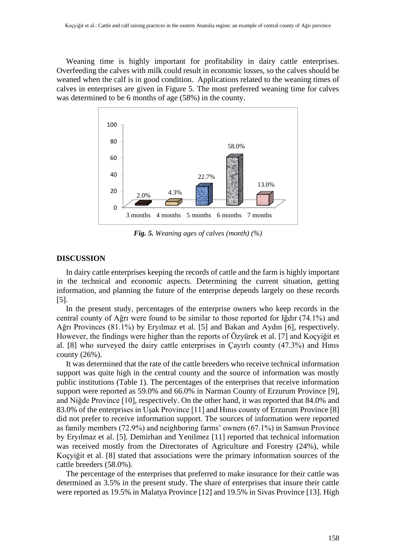Weaning time is highly important for profitability in dairy cattle enterprises. Overfeeding the calves with milk could result in economic losses, so the calves should be weaned when the calf is in good condition. Applications related to the weaning times of calves in enterprises are given in Figure 5. The most preferred weaning time for calves was determined to be 6 months of age (58%) in the county.



*Fig. 5. Weaning ages of calves (month) (%)*

### **DISCUSSION**

In dairy cattle enterprises keeping the records of cattle and the farm is highly important in the technical and economic aspects. Determining the current situation, getting information, and planning the future of the enterprise depends largely on these records [5].

In the present study, percentages of the enterprise owners who keep records in the central county of Ağrı were found to be similar to those reported for Iğdır (74.1%) and Ağrı Provinces (81.1%) by Eryılmaz et al. [5] and Bakan and Aydın [6], respectively. However, the findings were higher than the reports of Özyürek et al. [7] and Koçyiğit et al. [8] who surveyed the dairy cattle enterprises in Çayırlı county (47.3%) and Hınıs county (26%).

It was determined that the rate of the cattle breeders who receive technical information support was quite high in the central county and the source of information was mostly public institutions (Table 1). The percentages of the enterprises that receive information support were reported as 59.0% and 66.0% in Narman County of Erzurum Province [9], and Niğde Province [10], respectively. On the other hand, it was reported that 84.0% and 83.0% of the enterprises in Uşak Province [11] and Hınıs county of Erzurum Province [8] did not prefer to receive information support. The sources of information were reported as family members (72.9%) and neighboring farms' owners (67.1%) in Samsun Province by Eryılmaz et al. [5]. Demirhan and Yenilmez [11] reported that technical information was received mostly from the Directorates of Agriculture and Forestry (24%), while Koçyiğit et al. [8] stated that associations were the primary information sources of the cattle breeders (58.0%).

The percentage of the enterprises that preferred to make insurance for their cattle was determined as 3.5% in the present study. The share of enterprises that insure their cattle were reported as 19.5% in Malatya Province [12] and 19.5% in Sivas Province [13]. High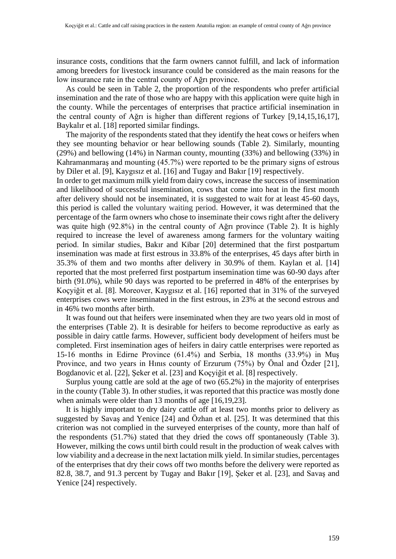insurance costs, conditions that the farm owners cannot fulfill, and lack of information among breeders for livestock insurance could be considered as the main reasons for the low insurance rate in the central county of Ağrı province.

As could be seen in Table 2, the proportion of the respondents who prefer artificial insemination and the rate of those who are happy with this application were quite high in the county. While the percentages of enterprises that practice artificial insemination in the central county of Ağrı is higher than different regions of Turkey [9,14,15,16,17], Baykalır et al. [18] reported similar findings.

The majority of the respondents stated that they identify the heat cows or heifers when they see mounting behavior or hear bellowing sounds (Table 2). Similarly, mounting (29%) and bellowing (14%) in Narman county, mounting (33%) and bellowing (33%) in Kahramanmaraş and mounting (45.7%) were reported to be the primary signs of estrous by Diler et al. [9], Kaygısız et al. [16] and Tugay and Bakır [19] respectively.

In order to get maximum milk yield from dairy cows, increase the success of insemination and likelihood of successful insemination, cows that come into heat in the first month after delivery should not be inseminated, it is suggested to wait for at least 45-60 days, this period is called the voluntary waiting period. However, it was determined that the percentage of the farm owners who chose to inseminate their cows right after the delivery was quite high (92.8%) in the central county of Ağrı province (Table 2). It is highly required to increase the level of awareness among farmers for the voluntary waiting period. In similar studies, Bakır and Kibar [20] determined that the first postpartum insemination was made at first estrous in 33.8% of the enterprises, 45 days after birth in 35.3% of them and two months after delivery in 30.9% of them. Kaylan et al. [14] reported that the most preferred first postpartum insemination time was 60-90 days after birth (91.0%), while 90 days was reported to be preferred in 48% of the enterprises by Koçyiğit et al. [8]. Moreover, Kaygısız et al. [16] reported that in 31% of the surveyed enterprises cows were inseminated in the first estrous, in 23% at the second estrous and in 46% two months after birth.

It was found out that heifers were inseminated when they are two years old in most of the enterprises (Table 2). It is desirable for heifers to become reproductive as early as possible in dairy cattle farms. However, sufficient body development of heifers must be completed. First insemination ages of heifers in dairy cattle enterprises were reported as 15-16 months in Edirne Province (61.4%) and Serbia, 18 months (33.9%) in Muş Province, and two years in Hınıs county of Erzurum (75%) by Önal and Özder [21], Bogdanovic et al. [22], Şeker et al. [23] and Koçyiğit et al. [8] respectively.

Surplus young cattle are sold at the age of two (65.2%) in the majority of enterprises in the county (Table 3). In other studies, it was reported that this practice was mostly done when animals were older than 13 months of age [16,19,23].

It is highly important to dry dairy cattle off at least two months prior to delivery as suggested by Savaş and Yenice [24] and Özhan et al. [25]. It was determined that this criterion was not complied in the surveyed enterprises of the county, more than half of the respondents (51.7%) stated that they dried the cows off spontaneously (Table 3). However, milking the cows until birth could result in the production of weak calves with low viability and a decrease in the next lactation milk yield. In similar studies, percentages of the enterprises that dry their cows off two months before the delivery were reported as 82.8, 38.7, and 91.3 percent by Tugay and Bakır [19], Şeker et al. [23], and Savaş and Yenice [24] respectively.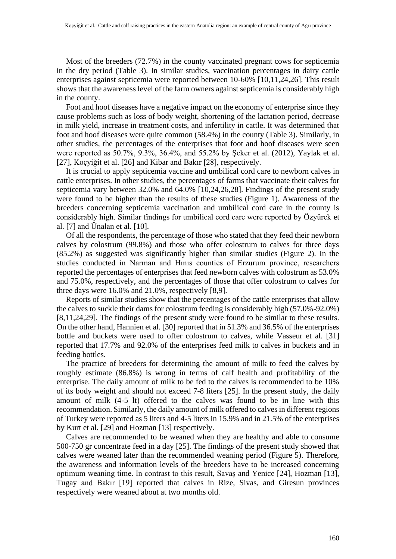Most of the breeders (72.7%) in the county vaccinated pregnant cows for septicemia in the dry period (Table 3). In similar studies, vaccination percentages in dairy cattle enterprises against septicemia were reported between 10-60% [10,11,24,26]. This result shows that the awareness level of the farm owners against septicemia is considerably high in the county.

Foot and hoof diseases have a negative impact on the economy of enterprise since they cause problems such as loss of body weight, shortening of the lactation period, decrease in milk yield, increase in treatment costs, and infertility in cattle. It was determined that foot and hoof diseases were quite common (58.4%) in the county (Table 3). Similarly, in other studies, the percentages of the enterprises that foot and hoof diseases were seen were reported as 50.7%, 9.3%, 36.4%, and 55.2% by Şeker et al. (2012), Yaylak et al. [27], Koçyiğit et al. [26] and Kibar and Bakır [28], respectively.

It is crucial to apply septicemia vaccine and umbilical cord care to newborn calves in cattle enterprises. In other studies, the percentages of farms that vaccinate their calves for septicemia vary between 32.0% and 64.0% [10,24,26,28]. Findings of the present study were found to be higher than the results of these studies (Figure 1). Awareness of the breeders concerning septicemia vaccination and umbilical cord care in the county is considerably high. Similar findings for umbilical cord care were reported by Özyürek et al. [7] and Ünalan et al. [10].

Of all the respondents, the percentage of those who stated that they feed their newborn calves by colostrum (99.8%) and those who offer colostrum to calves for three days (85.2%) as suggested was significantly higher than similar studies (Figure 2). In the studies conducted in Narman and Hınıs counties of Erzurum province, researchers reported the percentages of enterprises that feed newborn calves with colostrum as 53.0% and 75.0%, respectively, and the percentages of those that offer colostrum to calves for three days were 16.0% and 21.0%, respectively [8,9].

Reports of similar studies show that the percentages of the cattle enterprises that allow the calves to suckle their dams for colostrum feeding is considerably high (57.0%-92.0%) [8,11,24,29]. The findings of the present study were found to be similar to these results. On the other hand, Hannien et al. [30] reported that in 51.3% and 36.5% of the enterprises bottle and buckets were used to offer colostrum to calves, while Vasseur et al. [31] reported that 17.7% and 92.0% of the enterprises feed milk to calves in buckets and in feeding bottles.

The practice of breeders for determining the amount of milk to feed the calves by roughly estimate (86.8%) is wrong in terms of calf health and profitability of the enterprise. The daily amount of milk to be fed to the calves is recommended to be 10% of its body weight and should not exceed 7-8 liters [25]. In the present study, the daily amount of milk (4-5 lt) offered to the calves was found to be in line with this recommendation. Similarly, the daily amount of milk offered to calves in different regions of Turkey were reported as 5 liters and 4-5 liters in 15.9% and in 21.5% of the enterprises by Kurt et al. [29] and Hozman [13] respectively.

Calves are recommended to be weaned when they are healthy and able to consume 500-750 gr concentrate feed in a day [25]. The findings of the present study showed that calves were weaned later than the recommended weaning period (Figure 5). Therefore, the awareness and information levels of the breeders have to be increased concerning optimum weaning time. In contrast to this result, Savaş and Yenice [24], Hozman [13], Tugay and Bakır [19] reported that calves in Rize, Sivas, and Giresun provinces respectively were weaned about at two months old.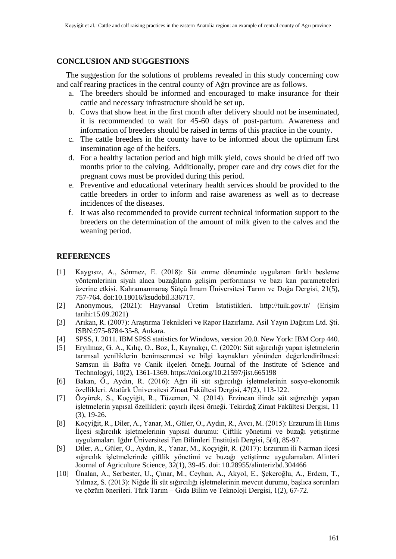## **CONCLUSION AND SUGGESTIONS**

The suggestion for the solutions of problems revealed in this study concerning cow and calf rearing practices in the central county of Ağrı province are as follows.

- a. The breeders should be informed and encouraged to make insurance for their cattle and necessary infrastructure should be set up.
- b. Cows that show heat in the first month after delivery should not be inseminated, it is recommended to wait for 45-60 days of post-partum. Awareness and information of breeders should be raised in terms of this practice in the county.
- c. The cattle breeders in the county have to be informed about the optimum first insemination age of the heifers.
- d. For a healthy lactation period and high milk yield, cows should be dried off two months prior to the calving. Additionally, proper care and dry cows diet for the pregnant cows must be provided during this period.
- e. Preventive and educational veterinary health services should be provided to the cattle breeders in order to inform and raise awareness as well as to decrease incidences of the diseases.
- f. It was also recommended to provide current technical information support to the breeders on the determination of the amount of milk given to the calves and the weaning period.

## **REFERENCES**

- [1] Kaygısız, A., Sönmez, E. (2018): Süt emme döneminde uygulanan farklı besleme yöntemlerinin siyah alaca buzağıların gelişim performansı ve bazı kan parametreleri üzerine etkisi. Kahramanmaraş Sütçü İmam Üniversitesi Tarım ve Doğa Dergisi, 21(5), 757-764. doi:10.18016/ksudobil.336717.
- [2] Anonymous, (2021): Hayvansal Üretim İstatistikleri. http://tuik.gov.tr/ (Erişim tarihi:15.09.2021)
- [3] Arıkan, R. (2007): Araştırma Teknikleri ve Rapor Hazırlama. Asil Yayın Dağıtım Ltd. Şti. ISBN:975-8784-35-8, Ankara.
- [4] SPSS, I. 2011. IBM SPSS statistics for Windows, version 20.0. New York: IBM Corp 440.
- [5] Eryılmaz, G. A., Kılıç, O., Boz, İ., Kaynakçı, C. (2020): Süt sığırcılığı yapan işletmelerin tarımsal yeniliklerin benimsenmesi ve bilgi kaynakları yönünden değerlendirilmesi: Samsun ili Bafra ve Canik ilçeleri örneği. Journal of the Institute of Science and Technologyi, 10(2), 1361-1369. https://doi.org/10.21597/jist.665198
- [6] Bakan, Ö., Aydın, R. (2016): Ağrı ili süt sığırcılığı işletmelerinin sosyo-ekonomik özellikleri. Atatürk Üniversitesi Ziraat Fakültesi Dergisi, 47(2), 113-122.
- [7] Özyürek, S., Koçyiğit, R., Tüzemen, N. (2014). Erzincan ilinde süt sığırcılığı yapan işletmelerin yapısal özellikleri: çayırlı ilçesi örneği. Tekirdağ Ziraat Fakültesi Dergisi, 11 (3), 19-26.
- [8] Koçyiğit, R., Diler, A., Yanar, M., Güler, O., Aydın, R., Avcı, M. (2015): Erzurum İli Hınıs İlçesi sığırcılık işletmelerinin yapısal durumu: Çiftlik yönetimi ve buzağı yetiştirme uygulamaları. Iğdır Üniversitesi Fen Bilimleri Enstitüsü Dergisi, 5(4), 85-97.
- [9] Diler, A., Güler, O., Aydın, R., Yanar, M., Koçyiğit, R. (2017): Erzurum ili Narman ilçesi sığırcılık işletmelerinde çiftlik yönetimi ve buzağı yetiştirme uygulamaları. Alinteri Journal of Agriculture Science, 32(1), 39-45. doi: 10.28955/alinterizbd.304466
- [10] Ünalan, A., Serbester, U., Çınar, M., Ceyhan, A., Akyol, E., Şekeroğlu, A., Erdem, T., Yılmaz, S. (2013): Niğde İli süt sığırcılığı işletmelerinin mevcut durumu, başlıca sorunları ve çözüm önerileri. Türk Tarım – Gıda Bilim ve Teknoloji Dergisi, 1(2), 67-72.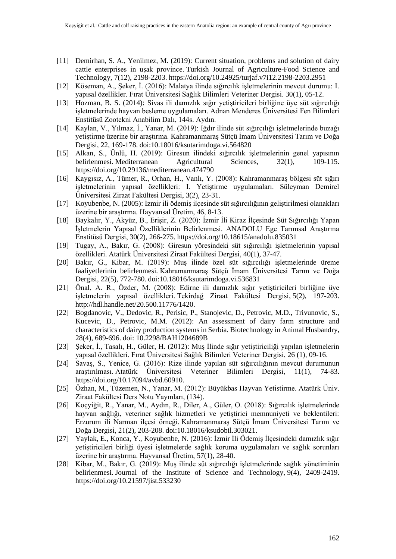- [11] Demirhan, S. A., Yenilmez, M. (2019): Current situation, problems and solution of dairy cattle enterprises in uşak province. Turkish Journal of Agriculture-Food Science and Technology, 7(12), 2198-2203. https://doi.org/10.24925/turjaf.v7i12.2198-2203.2951
- [12] Köseman, A., Şeker, İ. (2016): Malatya ilinde sığırcılık işletmelerinin mevcut durumu: I. yapısal özellikler. Fırat Üniversitesi Sağlık Bilimleri Veteriner Dergisi. 30(1), 05-12.
- [13] Hozman, B. S. (2014): Sivas ili damızlık sığır yetiştiricileri birliğine üye süt sığırcılığı işletmelerinde hayvan besleme uygulamaları. Adnan Menderes Üniversitesi Fen Bilimleri Enstitüsü Zootekni Anabilim Dalı, 144s. Aydın.
- [14] Kaylan, V., Yılmaz, İ., Yanar, M. (2019): Iğdır ilinde süt sığırcılığı işletmelerinde buzağı yetiştirme üzerine bir araştırma. Kahramanmaraş Sütçü İmam Üniversitesi Tarım ve Doğa Dergisi, 22, 169-178. doi:10.18016/ksutarimdoga.vi.564820
- [15] Alkan, S., Ünlü, H. (2019): Giresun ilindeki sığırcılık işletmelerinin genel yapısının belirlenmesi. Mediterranean Agricultural Sciences, 32(1), 109-115. https://doi.org/10.29136/mediterranean.474790
- [16] Kaygısız, A., Tümer, R., Orhan, H., Vanlı, Y. (2008): Kahramanmaraş bölgesi süt sığırı işletmelerinin yapısal özellikleri: I. Yetiştirme uygulamaları. Süleyman Demirel Üniversitesi Ziraat Fakültesi Dergisi, 3(2), 23-31.
- [17] Koyubenbe, N. (2005): İzmir ili ödemiş ilçesinde süt sığırcılığının geliştirilmesi olanakları üzerine bir araştırma. Hayvansal Üretim, 46, 8-13.
- [18] Baykalır, Y., Akyüz, B., Erişir, Z. (2020): İzmir İli Kiraz İlçesinde Süt Sığırcılığı Yapan İşletmelerin Yapısal Özelliklerinin Belirlenmesi. ANADOLU Ege Tarımsal Araştırma Enstitüsü Dergisi, 30(2), 266-275. https://doi.org/10.18615/anadolu.835031
- [19] Tugay, A., Bakır, G. (2008): Giresun yöresindeki süt sığırcılığı işletmelerinin yapısal özellikleri. Atatürk Üniversitesi Ziraat Fakültesi Dergisi, 40(1), 37-47.
- [20] Bakır, G., Kibar, M. (2019): Muş ilinde özel süt sığırcılığı işletmelerinde üreme faaliyetlerinin belirlenmesi. Kahramanmaraş Sütçü İmam Üniversitesi Tarım ve Doğa Dergisi, 22(5), 772-780. doi:10.18016/ksutarimdoga.vi.536831
- [21] Önal, A. R., Özder, M. (2008): Edirne ili damızlık sığır yetiştiricileri birliğine üye işletmelerin yapısal özellikleri. Tekirdağ Ziraat Fakültesi Dergisi, 5(2), 197-203. http://hdl.handle.net/20.500.11776/1420.
- [22] Bogdanovic, V., Dedovic, R., Perisic, P., Stanojevic, D., Petrovic, M.D., Trivunovic, S., Kucevic, D., Petrovic, M.M. (2012): An assessment of dairy farm structure and characteristics of dairy production systems in Serbia. Biotechnology in Animal Husbandry, 28(4), 689-696. doi: 10.2298/BAH1204689B
- [23] Şeker, İ., Tasalı, H., Güler, H. (2012): Muş İlinde sığır yetiştiriciliği yapılan işletmelerin yapısal özellikleri. Fırat Üniversitesi Sağlık Bilimleri Veteriner Dergisi, 26 (1), 09-16.
- [24] Savaş, S., Yenice, G. (2016): Rize ilinde yapılan süt sığırcılığının mevcut durumunun araştırılması. Atatürk Üniversitesi Veteriner Bilimleri Dergisi, 11(1), 74-83. https://doi.org/10.17094/avbd.60910.
- [25] Özhan, M., Tüzemen, N., Yanar, M. (2012): Büyükbas Hayvan Yetistirme. Atatürk Üniv. Ziraat Fakültesi Ders Notu Yayınları, (134).
- [26] Koçyiğit, R., Yanar, M., Aydın, R., Diler, A., Güler, O. (2018): Sığırcılık işletmelerinde hayvan sağlığı, veteriner sağlık hizmetleri ve yetiştirici memnuniyeti ve beklentileri: Erzurum ili Narman ilçesi örneği. Kahramanmaraş Sütçü İmam Üniversitesi Tarım ve Doğa Dergisi, 21(2), 203-208. doi:10.18016/ksudobil.303021.
- [27] Yaylak, E., Konca, Y., Koyubenbe, N. (2016): İzmir İli Ödemiş İlçesindeki damızlık sığır yetiştiricileri birliği üyesi işletmelerde sağlık koruma uygulamaları ve sağlık sorunları üzerine bir araştırma. Hayvansal Üretim, 57(1), 28-40.
- [28] Kibar, M., Bakır, G. (2019): Muş ilinde süt sığırcılığı işletmelerinde sağlık yönetiminin belirlenmesi. Journal of the Institute of Science and Technology, 9(4), 2409-2419. https://doi.org/10.21597/jist.533230